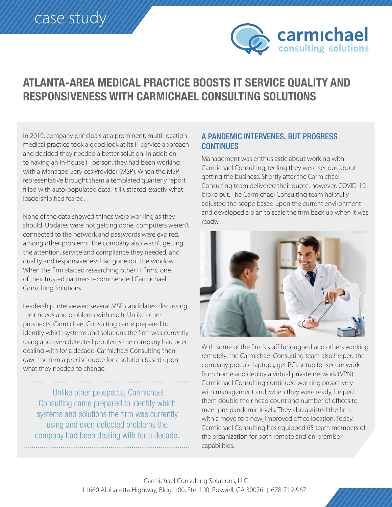

## **ATLANTA-AREA MEDICAL PRACTICE BOOSTS IT SERVICE QUALITY AND RESPONSIVENESS WITH CARMICHAEL CONSULTING SOLUTIONS**

In 2019, company principals at a prominent, multi-location medical practice took a good look at its IT service approach and decided they needed a better solution. In addition to having an in-house IT person, they had been working with a Managed Services Provider (MSP). When the MSP representative brought them a templated quarterly report filled with auto-populated data, it illustrated exactly what leadership had feared.

None of the data showed things were working as they should. Updates were not getting done, computers weren't connected to the network and passwords were expired, among other problems. The company also wasn't getting the attention, service and compliance they needed, and quality and responsiveness had gone out the window. When the firm started researching other IT firms, one of their trusted partners recommended Carmichael Consulting Solutions.

Leadership interviewed several MSP candidates, discussing their needs and problems with each. Unlike other prospects, Carmichael Consulting came prepared to identify which systems and solutions the firm was currently using and even detected problems the company had been dealing with for a decade. Carmichael Consulting then gave the firm a precise quote for a solution based upon what they needed to change.

Unlike other prospects, Carmichael Consulting came prepared to identify which systems and solutions the firm was currently using and even detected problems the company had been dealing with for a decade.

## A PANDEMIC INTERVENES, BUT PROGRESS **CONTINUES**

Management was enthusiastic about working with Carmichael Consulting, feeling they were serious about getting the business. Shortly after the Carmichael Consulting team delivered their quote, however, COVID-19 broke out. The Carmichael Consulting team helpfully adjusted the scope based upon the current environment and developed a plan to scale the firm back up when it was ready.



With some of the firm's staff furloughed and others working remotely, the Carmichael Consulting team also helped the company procure laptops, get PCs setup for secure work from home and deploy a virtual private network (VPN). Carmichael Consulting continued working proactively with management and, when they were ready, helped them double their head count and number of offices to meet pre-pandemic levels. They also assisted the firm with a move to a new, improved office location. Today, Carmichael Consulting has equipped 65 team members of the organization for both remote and on-premise .capabilities